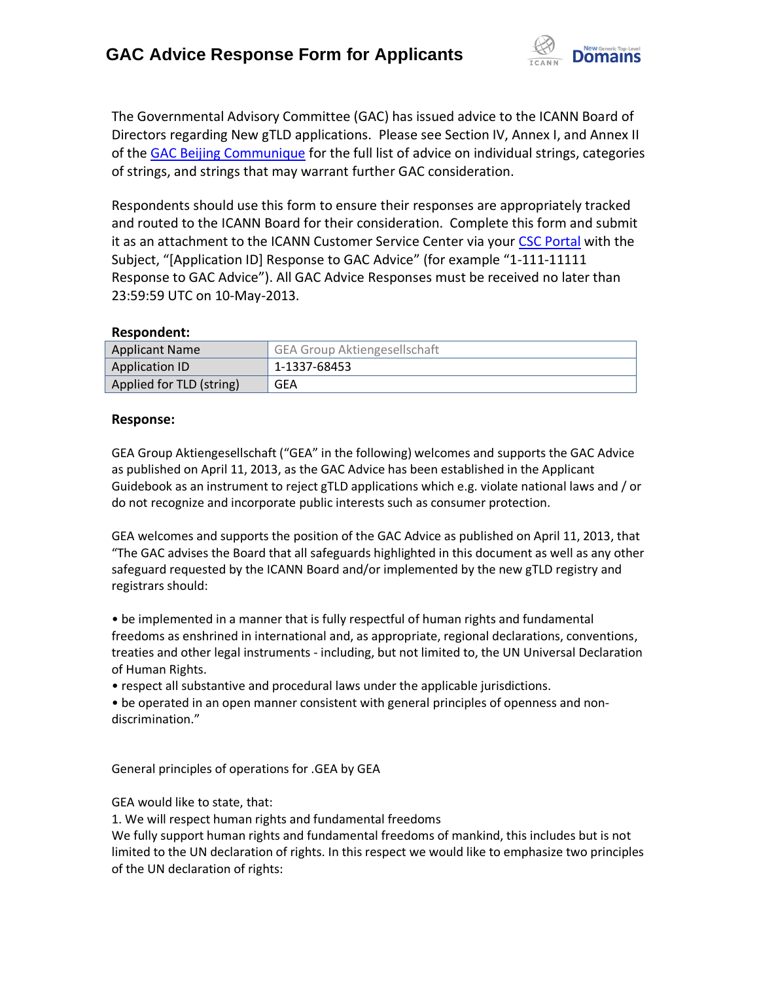

The Governmental Advisory Committee (GAC) has issued advice to the ICANN Board of Directors regarding New gTLD applications. Please see Section IV, Annex I, and Annex II of the [GAC Beijing Communique](http://www.icann.org/en/news/correspondence/gac-to-board-18apr13-en.pdf) for the full list of advice on individual strings, categories of strings, and strings that may warrant further GAC consideration.

Respondents should use this form to ensure their responses are appropriately tracked and routed to the ICANN Board for their consideration. Complete this form and submit it as an attachment to the ICANN Customer Service Center via your CSC [Portal](https://myicann.secure.force.com/) with the Subject, "[Application ID] Response to GAC Advice" (for example "1-111-11111 Response to GAC Advice"). All GAC Advice Responses must be received no later than 23:59:59 UTC on 10-May-2013.

## **Respondent:**

| <b>Applicant Name</b>    | <b>GEA Group Aktiengesellschaft</b> |
|--------------------------|-------------------------------------|
| Application ID           | 1-1337-68453                        |
| Applied for TLD (string) | GEA                                 |

## **Response:**

GEA Group Aktiengesellschaft ("GEA" in the following) welcomes and supports the GAC Advice as published on April 11, 2013, as the GAC Advice has been established in the Applicant Guidebook as an instrument to reject gTLD applications which e.g. violate national laws and / or do not recognize and incorporate public interests such as consumer protection.

GEA welcomes and supports the position of the GAC Advice as published on April 11, 2013, that "The GAC advises the Board that all safeguards highlighted in this document as well as any other safeguard requested by the ICANN Board and/or implemented by the new gTLD registry and registrars should:

• be implemented in a manner that is fully respectful of human rights and fundamental freedoms as enshrined in international and, as appropriate, regional declarations, conventions, treaties and other legal instruments - including, but not limited to, the UN Universal Declaration of Human Rights.

• respect all substantive and procedural laws under the applicable jurisdictions.

• be operated in an open manner consistent with general principles of openness and non‐ discrimination."

General principles of operations for .GEA by GEA

GEA would like to state, that:

1. We will respect human rights and fundamental freedoms

We fully support human rights and fundamental freedoms of mankind, this includes but is not limited to the UN declaration of rights. In this respect we would like to emphasize two principles of the UN declaration of rights: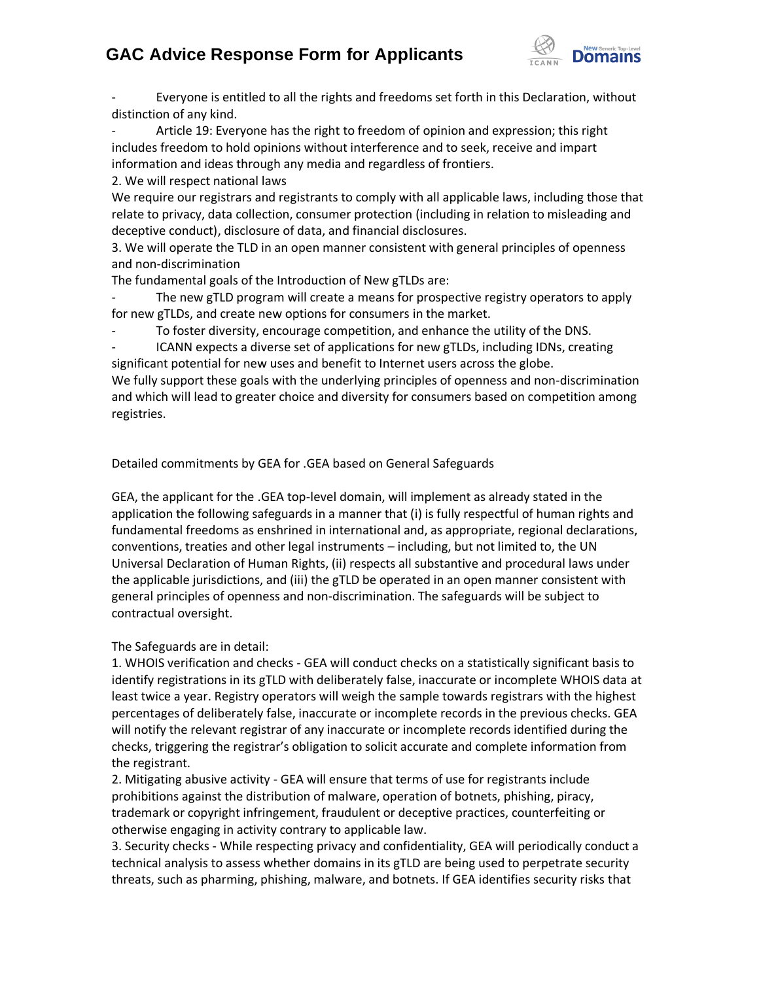## **GAC Advice Response Form for Applicants**



Everyone is entitled to all the rights and freedoms set forth in this Declaration, without distinction of any kind.

Article 19: Everyone has the right to freedom of opinion and expression; this right includes freedom to hold opinions without interference and to seek, receive and impart information and ideas through any media and regardless of frontiers.

2. We will respect national laws

We require our registrars and registrants to comply with all applicable laws, including those that relate to privacy, data collection, consumer protection (including in relation to misleading and deceptive conduct), disclosure of data, and financial disclosures.

3. We will operate the TLD in an open manner consistent with general principles of openness and non‐discrimination

The fundamental goals of the Introduction of New gTLDs are:

The new gTLD program will create a means for prospective registry operators to apply for new gTLDs, and create new options for consumers in the market.

To foster diversity, encourage competition, and enhance the utility of the DNS.

- ICANN expects a diverse set of applications for new gTLDs, including IDNs, creating significant potential for new uses and benefit to Internet users across the globe.

We fully support these goals with the underlying principles of openness and non-discrimination and which will lead to greater choice and diversity for consumers based on competition among registries.

Detailed commitments by GEA for .GEA based on General Safeguards

GEA, the applicant for the .GEA top-level domain, will implement as already stated in the application the following safeguards in a manner that (i) is fully respectful of human rights and fundamental freedoms as enshrined in international and, as appropriate, regional declarations, conventions, treaties and other legal instruments – including, but not limited to, the UN Universal Declaration of Human Rights, (ii) respects all substantive and procedural laws under the applicable jurisdictions, and (iii) the gTLD be operated in an open manner consistent with general principles of openness and non‐discrimination. The safeguards will be subject to contractual oversight.

The Safeguards are in detail:

1. WHOIS verification and checks - GEA will conduct checks on a statistically significant basis to identify registrations in its gTLD with deliberately false, inaccurate or incomplete WHOIS data at least twice a year. Registry operators will weigh the sample towards registrars with the highest percentages of deliberately false, inaccurate or incomplete records in the previous checks. GEA will notify the relevant registrar of any inaccurate or incomplete records identified during the checks, triggering the registrar's obligation to solicit accurate and complete information from the registrant.

2. Mitigating abusive activity - GEA will ensure that terms of use for registrants include prohibitions against the distribution of malware, operation of botnets, phishing, piracy, trademark or copyright infringement, fraudulent or deceptive practices, counterfeiting or otherwise engaging in activity contrary to applicable law.

3. Security checks - While respecting privacy and confidentiality, GEA will periodically conduct a technical analysis to assess whether domains in its gTLD are being used to perpetrate security threats, such as pharming, phishing, malware, and botnets. If GEA identifies security risks that